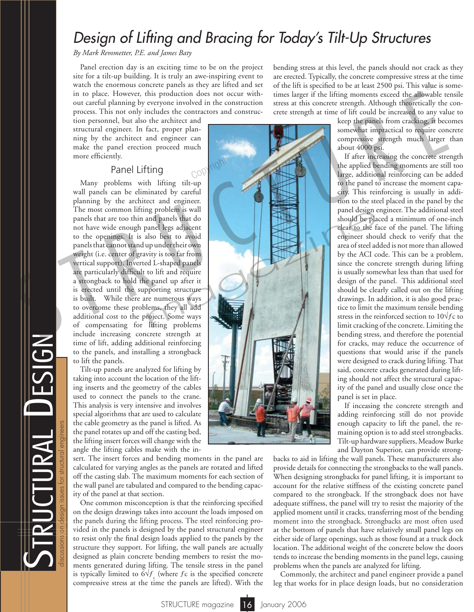# *Design of Lifting and Bracing for Today's Tilt-Up Structures*

*By Mark Remmetter, P.E. and James Baty*

Panel erection day is an exciting time to be on the project site for a tilt-up building. It is truly an awe-inspiring event to watch the enormous concrete panels as they are lifted and set in to place. However, this production does not occur without careful planning by everyone involved in the construction process. This not only includes the contractors and construc-

tion personnel, but also the architect and structural engineer. In fact, proper planning by the architect and engineer can make the panel erection proceed much more efficiently.

### Panel Lifting

Many problems with lifting tilt-up wall panels can be eliminated by careful planning by the architect and engineer. The most common lifting problem is wall panels that are too thin and panels that do not have wide enough panel legs adjacent to the openings. It is also best to avoid panels that cannot stand up under their own weight (i.e. center of gravity is too far from vertical support). Inverted L-shaped panels are particularly difficult to lift and require a strongback to hold the panel up after it is erected until the supporting structure is built. While there are numerous ways to overcome these problems, they all add additional cost to the project. Some ways of compensating for lifting problems include increasing concrete strength at time of lift, adding additional reinforcing to the panels, and installing a strongback to lift the panels.

Tilt-up panels are analyzed for lifting by taking into account the location of the lifting inserts and the geometry of the cables used to connect the panels to the crane. This analysis is very intensive and involves special algorithms that are used to calculate the cable geometry as the panel is lifted. As the panel rotates up and off the casting bed, the lifting insert forces will change with the angle the lifting cables make with the in-

 $\boldsymbol{\mathcal{D}}$ 

TRUCTURAL DESIGN

discussions on design issues for structural engineers

sert. The insert forces and bending moments in the panel are calculated for varying angles as the panels are rotated and lifted off the casting slab. The maximum moments for each section of the wall panel are tabulated and compared to the bending capacity of the panel at that section.

One common misconception is that the reinforcing specified on the design drawings takes into account the loads imposed on the panels during the lifting process. The steel reinforcing provided in the panels is designed by the panel structural engineer to resist only the final design loads applied to the panels by the structure they support. For lifting, the wall panels are actually designed as plain concrete bending members to resist the moments generated during lifting. The tensile stress in the panel is typically limited to  $6\sqrt{f}$ <sub>c</sub> (where  $fc$  is the specified concrete compressive stress at the time the panels are lifted). With the

bending stress at this level, the panels should not crack as they are erected. Typically, the concrete compressive stress at the time of the lift is specified to be at least 2500 psi. This value is sometimes larger if the lifting moments exceed the allowable tensile stress at this concrete strength. Although theoretically the concrete strength at time of lift could be increased to any value to

keep the panels from cracking, it becomes somewhat impractical to require concrete compressive strength much larger than about 4000 psi.

If after increasing the concrete strength the applied bending moments are still too large, additional reinforcing can be added to the panel to increase the moment capacity. This reinforcing is usually in addition to the steel placed in the panel by the panel design engineer. The additional steel should be placed a minimum of one-inch clear to the face of the panel. The lifting engineer should check to verify that the area of steel added is not more than allowed by the ACI code. This can be a problem, since the concrete strength during lifting is usually somewhat less than that used for design of the panel. This additional steel should be clearly called out on the lifting drawings. In addition, it is also good practice to limit the maximum tensile bending stress in the reinforced section to  $10\sqrt{f}c$  to limit cracking of the concrete. Limiting the bending stress, and therefore the potential for cracks, may reduce the occurrence of questions that would arise if the panels were designed to crack during lifting. That said, concrete cracks generated during lifting should not affect the structural capacity of the panel and usually close once the panel is set in place.

If inceasing the concrete strength and adding reinforcing still do not provide enough capacity to lift the panel, the remaining option is to add steel strongbacks. Tilt-up hardware suppliers, Meadow Burke and Dayton Superior, can provide strong-

backs to aid in lifting the wall panels. These manufacturers also provide details for connecting the strongbacks to the wall panels. When designing strongbacks for panel lifting, it is important to account for the relative stiffness of the existing concrete panel compared to the strongback. If the strongback does not have adequate stiffness, the panel will try to resist the majority of the applied moment until it cracks, transferring most of the bending moment into the strongback. Strongbacks are most often used at the bottom of panels that have relatively small panel legs on either side of large openings, such as those found at a truck dock location. The additional weight of the concrete below the doors tends to increase the bending moments in the panel legs, causing problems when the panels are analyzed for lifting.

Commonly, the architect and panel engineer provide a panel leg that works for in place design loads, but no consideration

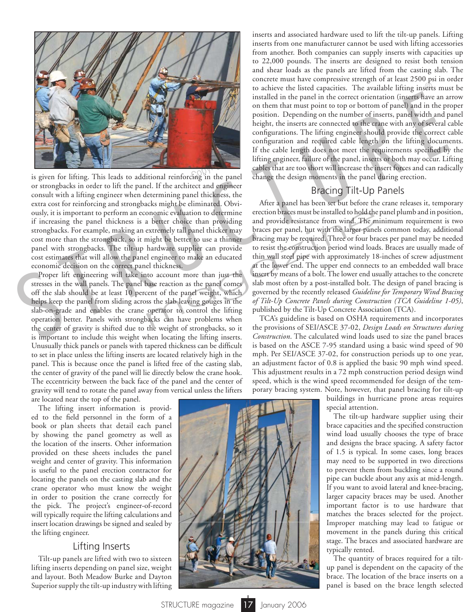

or strongbacks in order to lift the panel. If the architect and engineer consult with a lifting engineer when determining panel thickness, the extra cost for reinforcing and strongbacks might be eliminated. Obviously, it is important to perform an economic evaluation to determine if increasing the panel thickness is a better choice than providing strongbacks. For example, making an extremely tall panel thicker may cost more than the strongback, so it might be better to use a thinner panel with strongbacks. The tilt-up hardware supplier can provide cost estimates that will allow the panel engineer to make an educated economic decision on the correct panel thickness.

Proper lift engineering will take into account more than just the stresses in the wall panels. The panel base reaction as the panel comes off the slab should be at least 10 percent of the panel weight, which helps keep the panel from sliding across the slab leaving gouges in the slab-on-grade and enables the crane operator to control the lifting operation better. Panels with strongbacks can have problems when the center of gravity is shifted due to the weight of strongbacks, so it is important to include this weight when locating the lifting inserts. Unusually thick panels or panels with tapered thickness can be difficult to set in place unless the lifting inserts are located relatively high in the panel. This is because once the panel is lifted free of the casting slab, the center of gravity of the panel will lie directly below the crane hook. The eccentricity between the back face of the panel and the center of gravity will tend to rotate the panel away from vertical unless the lifters are located near the top of the panel.

The lifting insert information is provided to the field personnel in the form of a book or plan sheets that detail each panel by showing the panel geometry as well as the location of the inserts. Other information provided on these sheets includes the panel weight and center of gravity. This information is useful to the panel erection contractor for locating the panels on the casting slab and the crane operator who must know the weight in order to position the crane correctly for the pick. The project's engineer-of-record will typically require the lifting calculations and insert location drawings be signed and sealed by the lifting engineer.

### Lifting Inserts

Tilt-up panels are lifted with two to sixteen lifting inserts depending on panel size, weight and layout. Both Meadow Burke and Dayton Superior supply the tilt-up industry with lifting inserts and associated hardware used to lift the tilt-up panels. Lifting inserts from one manufacturer cannot be used with lifting accessories from another. Both companies can supply inserts with capacities up to 22,000 pounds. The inserts are designed to resist both tension and shear loads as the panels are lifted from the casting slab. The concrete must have compressive strength of at least 2500 psi in order to achieve the listed capacities. The available lifting inserts must be installed in the panel in the correct orientation (inserts have an arrow on them that must point to top or bottom of panel) and in the proper position. Depending on the number of inserts, panel width and panel height, the inserts are connected to the crane with any of several cable configurations. The lifting engineer should provide the correct cable configuration and required cable length on the lifting documents. If the cable length does not meet the requirements specified by the lifting engineer, failure of the panel, inserts or both may occur. Lifting cables that are too short will increase the insert forces and can radically change the design moments in the panel during erection.

### Bracing Tilt-Up Panels

After a panel has been set but before the crane releases it, temporary erection braces must be installed to hold the panel plumb and in position, and provide resistance from wind. The minimum requirement is two braces per panel, but with the larger panels common today, additional bracing may be required. Three or four braces per panel may be needed to resist the construction period wind loads. Braces are usually made of thin wall steel pipe with approximately 18-inches of screw adjustment at the lower end. The upper end connects to an embedded wall brace insert by means of a bolt. The lower end usually attaches to the concrete slab most often by a post-installed bolt. The design of panel bracing is governed by the recently released *Guideline for Temporary Wind Bracing of Tilt-Up Concrete Panels during Construction (TCA Guideline 1-05)*, published by the Tilt-Up Concrete Association (TCA). S T R U C T U R E® momic evaluation to determine<br>
a better choice than providing and provide resistance from wind. The m<br>
extremely tall panel thicker may braces per panel, but with the larger panel<br>
might be better to use a thinner bracing

TCA's guideline is based on OSHA requirements and incorporates the provisions of SEI/ASCE 37-02, *Design Loads on Structures during Construction*. The calculated wind loads used to size the panel braces is based on the ASCE 7-95 standard using a basic wind speed of 90 mph. Per SEI/ASCE 37-02, for construction periods up to one year, an adjustment factor of 0.8 is applied the basic 90 mph wind speed. This adjustment results in a 72 mph construction period design wind speed, which is the wind speed recommended for design of the temporary bracing system. Note, however, that panel bracing for tilt-up

buildings in hurricane prone areas requires special attention.

The tilt-up hardware supplier using their brace capacities and the specified construction wind load usually chooses the type of brace and designs the brace spacing. A safety factor of 1.5 is typical. In some cases, long braces may need to be supported in two directions to prevent them from buckling since a round pipe can buckle about any axis at mid-length. If you want to avoid lateral and knee-bracing, larger capacity braces may be used. Another important factor is to use hardware that matches the braces selected for the project. Improper matching may lead to fatigue or movement in the panels during this critical stage. The braces and associated hardware are typically rented.

The quantity of braces required for a tiltup panel is dependent on the capacity of the brace. The location of the brace inserts on a panel is based on the brace length selected

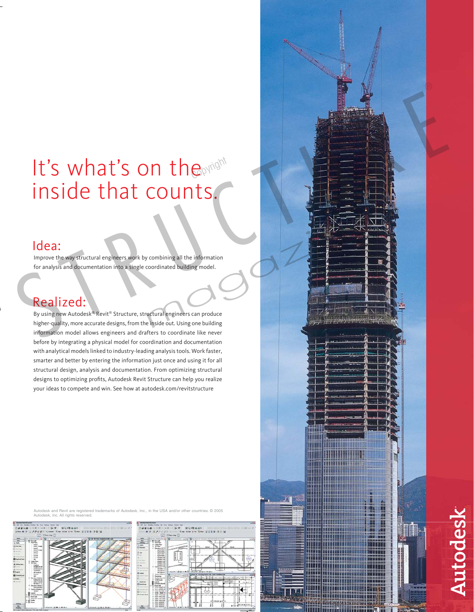# It's what's on the inside that counts.

## Idea:

 Improve the way structural engineers work by combining all the information for analysis and documentation into a single coordinated building model.

Realized: **By Unitainal Reality Common Reality Common Reality Common Reality Common By United Structure** higher-quality, more accurate designs, from the inside out. Using one building information model allows engineers and drafters to coordinate like never before by integrating a physical model for coordination and documentation with analytical models linked to industry-leading analysis tools. Work faster, smarter and better by entering the information just once and using it for all structural design, analysis and documentation. From optimizing structural designs to optimizing profits, Autodesk Revit Structure can help you realize your ideas to compete and win. See how at autodesk.com/revitstructure



arks of Autodesk, Inc., in the USA and/or other countries. © 2005 **Autodesk, Inc. All rights reserved** 







Autodesk